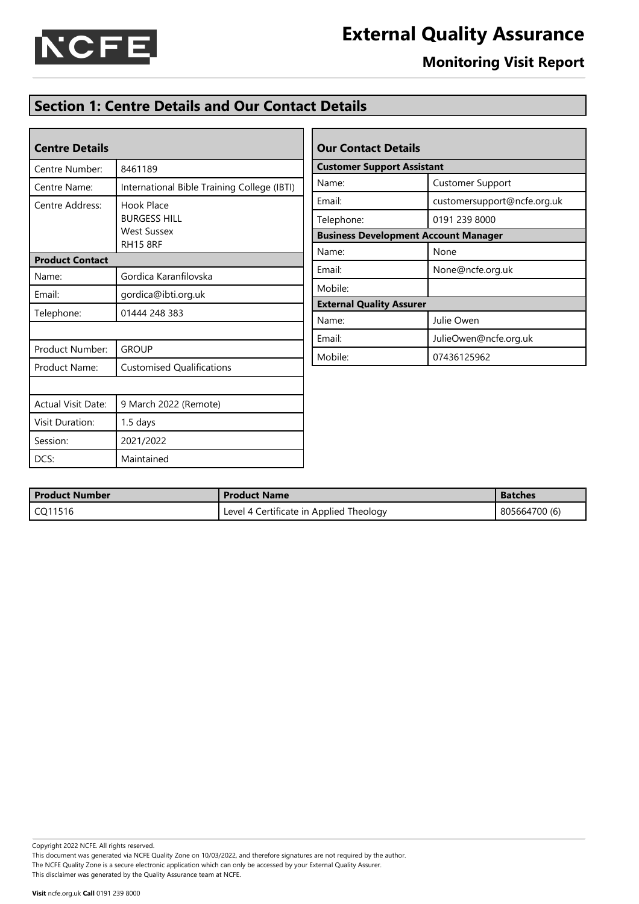

## **Monitoring Visit Report**

## **Section 1: Centre Details and Our Contact Details**

| <b>Centre Details</b>                                                                         |                                             |  |  |  |  |  |
|-----------------------------------------------------------------------------------------------|---------------------------------------------|--|--|--|--|--|
| Centre Number:                                                                                | 8461189                                     |  |  |  |  |  |
| Centre Name:                                                                                  | International Bible Training College (IBTI) |  |  |  |  |  |
| Centre Address:<br>Hook Place<br><b>BURGESS HILL</b><br><b>West Sussex</b><br><b>RH15 8RF</b> |                                             |  |  |  |  |  |
| <b>Product Contact</b>                                                                        |                                             |  |  |  |  |  |
| Name:                                                                                         | Gordica Karanfilovska                       |  |  |  |  |  |
| Email:                                                                                        | gordica@ibti.org.uk                         |  |  |  |  |  |
| Telephone:                                                                                    | 01444 248 383                               |  |  |  |  |  |
|                                                                                               |                                             |  |  |  |  |  |
| Product Number:                                                                               | <b>GROUP</b>                                |  |  |  |  |  |
| Product Name:                                                                                 | <b>Customised Qualifications</b>            |  |  |  |  |  |
|                                                                                               |                                             |  |  |  |  |  |
| <b>Actual Visit Date:</b>                                                                     | 9 March 2022 (Remote)                       |  |  |  |  |  |
| <b>Visit Duration:</b>                                                                        | 1.5 days                                    |  |  |  |  |  |
| Session:                                                                                      | 2021/2022                                   |  |  |  |  |  |
| DCS:                                                                                          | Maintained                                  |  |  |  |  |  |

| <b>Our Contact Details</b>                  |                             |  |  |  |  |  |  |
|---------------------------------------------|-----------------------------|--|--|--|--|--|--|
| <b>Customer Support Assistant</b>           |                             |  |  |  |  |  |  |
| Name:                                       | <b>Customer Support</b>     |  |  |  |  |  |  |
| Email:                                      | customersupport@ncfe.org.uk |  |  |  |  |  |  |
| Telephone:                                  | 0191 239 8000               |  |  |  |  |  |  |
| <b>Business Development Account Manager</b> |                             |  |  |  |  |  |  |
| Name:                                       | None                        |  |  |  |  |  |  |
| Email:                                      | None@ncfe.org.uk            |  |  |  |  |  |  |
| Mobile:                                     |                             |  |  |  |  |  |  |
| <b>External Quality Assurer</b>             |                             |  |  |  |  |  |  |
| Name:                                       | Julie Owen                  |  |  |  |  |  |  |
| Email:                                      | JulieOwen@ncfe.org.uk       |  |  |  |  |  |  |
| Mobile:                                     | 07436125962                 |  |  |  |  |  |  |

| <b>Product Number</b> | <b>Product Name</b>                     | <b>Batches</b> |
|-----------------------|-----------------------------------------|----------------|
| CQ11516               | Level 4 Certificate in Applied Theology | 805664700 (6)  |

Copyright 2022 NCFE. All rights reserved.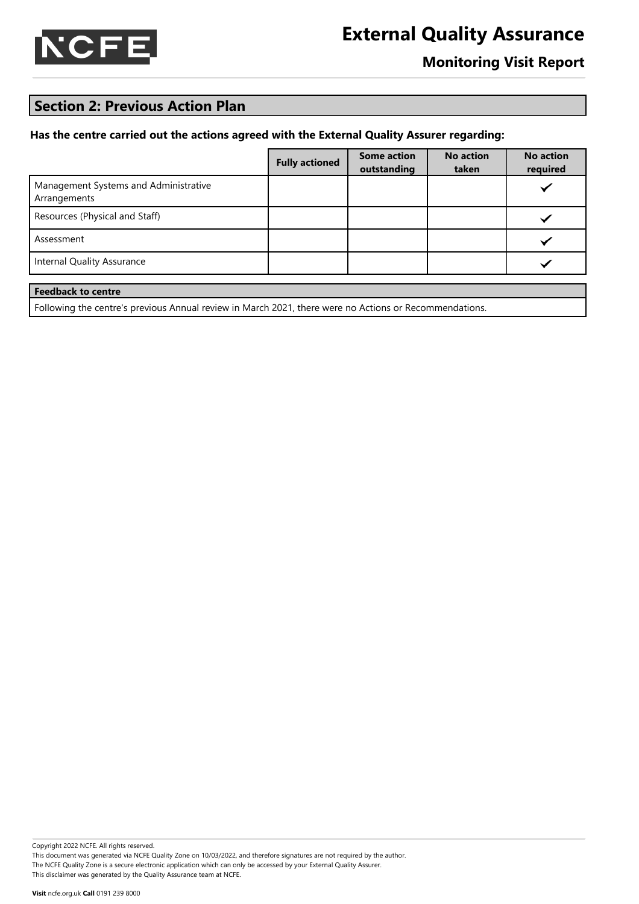

### **Monitoring Visit Report**

### **Section 2: Previous Action Plan**

#### **Has the centre carried out the actions agreed with the External Quality Assurer regarding:**

|                                                       | <b>Fully actioned</b> | <b>Some action</b><br>outstanding | <b>No action</b><br>taken | <b>No action</b><br>required |
|-------------------------------------------------------|-----------------------|-----------------------------------|---------------------------|------------------------------|
| Management Systems and Administrative<br>Arrangements |                       |                                   |                           |                              |
| Resources (Physical and Staff)                        |                       |                                   |                           |                              |
| Assessment                                            |                       |                                   |                           |                              |
| <b>Internal Quality Assurance</b>                     |                       |                                   |                           |                              |
| <b>Feedback to centre</b>                             |                       |                                   |                           |                              |

Following the centre's previous Annual review in March 2021, there were no Actions or Recommendations.

Copyright 2022 NCFE. All rights reserved. This document was generated via NCFE Quality Zone on 10/03/2022, and therefore signatures are not required by the author. The NCFE Quality Zone is a secure electronic application which can only be accessed by your External Quality Assurer.

This disclaimer was generated by the Quality Assurance team at NCFE.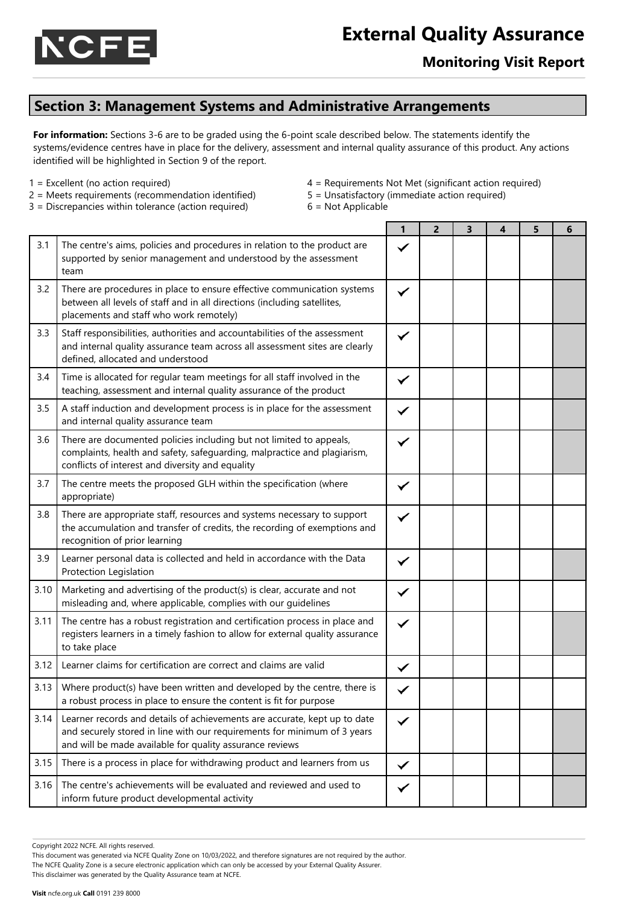

### **Monitoring Visit Report**

### **Section 3: Management Systems and Administrative Arrangements**

**For information:** Sections 3-6 are to be graded using the 6-point scale described below. The statements identify the systems/evidence centres have in place for the delivery, assessment and internal quality assurance of this product. Any actions identified will be highlighted in Section 9 of the report.

- 
- 1 = Excellent (no action required) 4 = Requirements Not Met (significant action required)
- 2 = Meets requirements (recommendation identified) 5 = Unsatisfactory (immediate action required)
- $3 =$  Discrepancies within tolerance (action required)  $6 =$  Not Applicable
	-

|      |                                                                                                                                                                                                                   | 1            | $\overline{2}$ | 3 | 4 | 5 | 6 |
|------|-------------------------------------------------------------------------------------------------------------------------------------------------------------------------------------------------------------------|--------------|----------------|---|---|---|---|
| 3.1  | The centre's aims, policies and procedures in relation to the product are<br>supported by senior management and understood by the assessment<br>team                                                              |              |                |   |   |   |   |
| 3.2  | There are procedures in place to ensure effective communication systems<br>between all levels of staff and in all directions (including satellites,<br>placements and staff who work remotely)                    | ✓            |                |   |   |   |   |
| 3.3  | Staff responsibilities, authorities and accountabilities of the assessment<br>and internal quality assurance team across all assessment sites are clearly<br>defined, allocated and understood                    | ✓            |                |   |   |   |   |
| 3.4  | Time is allocated for regular team meetings for all staff involved in the<br>teaching, assessment and internal quality assurance of the product                                                                   |              |                |   |   |   |   |
| 3.5  | A staff induction and development process is in place for the assessment<br>and internal quality assurance team                                                                                                   |              |                |   |   |   |   |
| 3.6  | There are documented policies including but not limited to appeals,<br>complaints, health and safety, safeguarding, malpractice and plagiarism,<br>conflicts of interest and diversity and equality               | ✓            |                |   |   |   |   |
| 3.7  | The centre meets the proposed GLH within the specification (where<br>appropriate)                                                                                                                                 | ✓            |                |   |   |   |   |
| 3.8  | There are appropriate staff, resources and systems necessary to support<br>the accumulation and transfer of credits, the recording of exemptions and<br>recognition of prior learning                             | ✓            |                |   |   |   |   |
| 3.9  | Learner personal data is collected and held in accordance with the Data<br>Protection Legislation                                                                                                                 | ✓            |                |   |   |   |   |
| 3.10 | Marketing and advertising of the product(s) is clear, accurate and not<br>misleading and, where applicable, complies with our guidelines                                                                          | ✓            |                |   |   |   |   |
| 3.11 | The centre has a robust registration and certification process in place and<br>registers learners in a timely fashion to allow for external quality assurance<br>to take place                                    | ✓            |                |   |   |   |   |
| 3.12 | Learner claims for certification are correct and claims are valid                                                                                                                                                 | ✓            |                |   |   |   |   |
| 3.13 | Where product(s) have been written and developed by the centre, there is<br>a robust process in place to ensure the content is fit for purpose                                                                    |              |                |   |   |   |   |
| 3.14 | Learner records and details of achievements are accurate, kept up to date<br>and securely stored in line with our requirements for minimum of 3 years<br>and will be made available for quality assurance reviews | $\checkmark$ |                |   |   |   |   |
| 3.15 | There is a process in place for withdrawing product and learners from us                                                                                                                                          | ✓            |                |   |   |   |   |
| 3.16 | The centre's achievements will be evaluated and reviewed and used to<br>inform future product developmental activity                                                                                              | ✓            |                |   |   |   |   |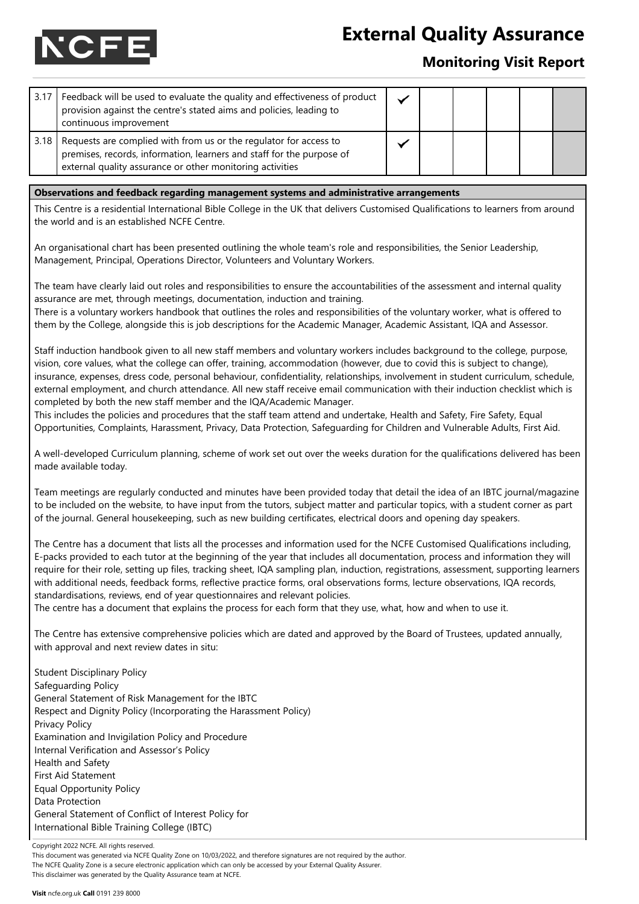

### **Monitoring Visit Report**

| 3.17 | Feedback will be used to evaluate the quality and effectiveness of product<br>provision against the centre's stated aims and policies, leading to<br>continuous improvement                                                                                                  |  |  |  |  |  |  |  |
|------|------------------------------------------------------------------------------------------------------------------------------------------------------------------------------------------------------------------------------------------------------------------------------|--|--|--|--|--|--|--|
| 3.18 | Requests are complied with from us or the regulator for access to<br>premises, records, information, learners and staff for the purpose of<br>external quality assurance or other monitoring activities                                                                      |  |  |  |  |  |  |  |
|      |                                                                                                                                                                                                                                                                              |  |  |  |  |  |  |  |
|      | Observations and feedback regarding management systems and administrative arrangements<br>This Centre is a residential International Bible College in the UK that delivers Customised Qualifications to learners from around<br>the world and is an established NCFE Centre. |  |  |  |  |  |  |  |
|      | An organisational chart has been presented outlining the whole team's role and responsibilities, the Senior Leadership,                                                                                                                                                      |  |  |  |  |  |  |  |

Management, Principal, Operations Director, Volunteers and Voluntary Workers.

The team have clearly laid out roles and responsibilities to ensure the accountabilities of the assessment and internal quality assurance are met, through meetings, documentation, induction and training.

There is a voluntary workers handbook that outlines the roles and responsibilities of the voluntary worker, what is offered to them by the College, alongside this is job descriptions for the Academic Manager, Academic Assistant, IQA and Assessor.

Staff induction handbook given to all new staff members and voluntary workers includes background to the college, purpose, vision, core values, what the college can offer, training, accommodation (however, due to covid this is subject to change), insurance, expenses, dress code, personal behaviour, confidentiality, relationships, involvement in student curriculum, schedule, external employment, and church attendance. All new staff receive email communication with their induction checklist which is completed by both the new staff member and the IQA/Academic Manager.

This includes the policies and procedures that the staff team attend and undertake, Health and Safety, Fire Safety, Equal Opportunities, Complaints, Harassment, Privacy, Data Protection, Safeguarding for Children and Vulnerable Adults, First Aid.

A well-developed Curriculum planning, scheme of work set out over the weeks duration for the qualifications delivered has been made available today.

Team meetings are regularly conducted and minutes have been provided today that detail the idea of an IBTC journal/magazine to be included on the website, to have input from the tutors, subject matter and particular topics, with a student corner as part of the journal. General housekeeping, such as new building certificates, electrical doors and opening day speakers.

The Centre has a document that lists all the processes and information used for the NCFE Customised Qualifications including, E-packs provided to each tutor at the beginning of the year that includes all documentation, process and information they will require for their role, setting up files, tracking sheet, IQA sampling plan, induction, registrations, assessment, supporting learners with additional needs, feedback forms, reflective practice forms, oral observations forms, lecture observations, IQA records, standardisations, reviews, end of year questionnaires and relevant policies.

The centre has a document that explains the process for each form that they use, what, how and when to use it.

The Centre has extensive comprehensive policies which are dated and approved by the Board of Trustees, updated annually, with approval and next review dates in situ:

Student Disciplinary Policy Safeguarding Policy General Statement of Risk Management for the IBTC Respect and Dignity Policy (Incorporating the Harassment Policy) Privacy Policy Examination and Invigilation Policy and Procedure Internal Verification and Assessor's Policy Health and Safety First Aid Statement Equal Opportunity Policy Data Protection General Statement of Conflict of Interest Policy for International Bible Training College (IBTC)

Copyright 2022 NCFE. All rights reserved.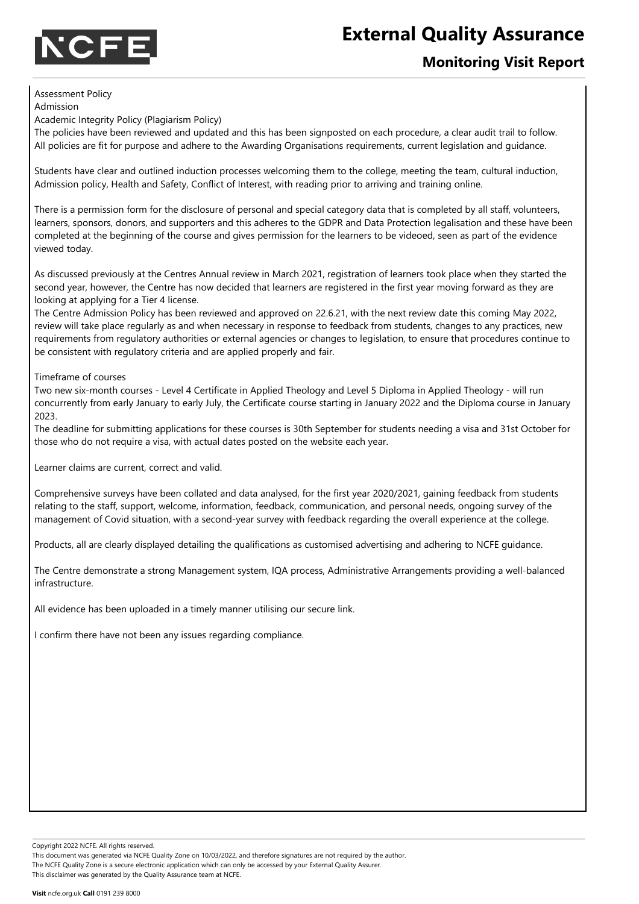

### **Monitoring Visit Report**

#### Assessment Policy

Admission Academic Integrity Policy (Plagiarism Policy)

The policies have been reviewed and updated and this has been signposted on each procedure, a clear audit trail to follow. All policies are fit for purpose and adhere to the Awarding Organisations requirements, current legislation and guidance.

Students have clear and outlined induction processes welcoming them to the college, meeting the team, cultural induction, Admission policy, Health and Safety, Conflict of Interest, with reading prior to arriving and training online.

There is a permission form for the disclosure of personal and special category data that is completed by all staff, volunteers, learners, sponsors, donors, and supporters and this adheres to the GDPR and Data Protection legalisation and these have been completed at the beginning of the course and gives permission for the learners to be videoed, seen as part of the evidence viewed today.

As discussed previously at the Centres Annual review in March 2021, registration of learners took place when they started the second year, however, the Centre has now decided that learners are registered in the first year moving forward as they are looking at applying for a Tier 4 license.

The Centre Admission Policy has been reviewed and approved on 22.6.21, with the next review date this coming May 2022, review will take place regularly as and when necessary in response to feedback from students, changes to any practices, new requirements from regulatory authorities or external agencies or changes to legislation, to ensure that procedures continue to be consistent with regulatory criteria and are applied properly and fair.

Timeframe of courses

Two new six-month courses - Level 4 Certificate in Applied Theology and Level 5 Diploma in Applied Theology - will run concurrently from early January to early July, the Certificate course starting in January 2022 and the Diploma course in January 2023.

The deadline for submitting applications for these courses is 30th September for students needing a visa and 31st October for those who do not require a visa, with actual dates posted on the website each year.

Learner claims are current, correct and valid.

Comprehensive surveys have been collated and data analysed, for the first year 2020/2021, gaining feedback from students relating to the staff, support, welcome, information, feedback, communication, and personal needs, ongoing survey of the management of Covid situation, with a second-year survey with feedback regarding the overall experience at the college.

Products, all are clearly displayed detailing the qualifications as customised advertising and adhering to NCFE guidance.

The Centre demonstrate a strong Management system, IQA process, Administrative Arrangements providing a well-balanced infrastructure.

All evidence has been uploaded in a timely manner utilising our secure link.

I confirm there have not been any issues regarding compliance.

Copyright 2022 NCFE. All rights reserved.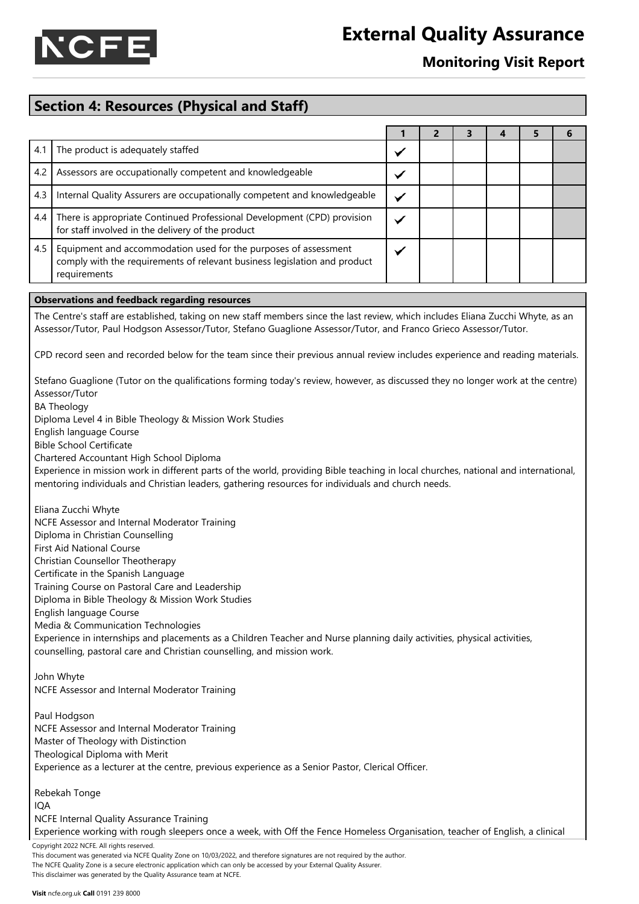

### **Monitoring Visit Report**

### **Section 4: Resources (Physical and Staff)**

| 4.1 | The product is adequately staffed                                                                                                                            |  |  |  |
|-----|--------------------------------------------------------------------------------------------------------------------------------------------------------------|--|--|--|
| 4.2 | Assessors are occupationally competent and knowledgeable                                                                                                     |  |  |  |
| 4.3 | Internal Quality Assurers are occupationally competent and knowledgeable                                                                                     |  |  |  |
|     | 4.4 There is appropriate Continued Professional Development (CPD) provision<br>for staff involved in the delivery of the product                             |  |  |  |
| 4.5 | Equipment and accommodation used for the purposes of assessment<br>comply with the requirements of relevant business legislation and product<br>requirements |  |  |  |

#### **Observations and feedback regarding resources**

The Centre's staff are established, taking on new staff members since the last review, which includes Eliana Zucchi Whyte, as an Assessor/Tutor, Paul Hodgson Assessor/Tutor, Stefano Guaglione Assessor/Tutor, and Franco Grieco Assessor/Tutor.

CPD record seen and recorded below for the team since their previous annual review includes experience and reading materials.

Stefano Guaglione (Tutor on the qualifications forming today's review, however, as discussed they no longer work at the centre) Assessor/Tutor

BA Theology

Diploma Level 4 in Bible Theology & Mission Work Studies

English language Course

Bible School Certificate

Chartered Accountant High School Diploma

Experience in mission work in different parts of the world, providing Bible teaching in local churches, national and international, mentoring individuals and Christian leaders, gathering resources for individuals and church needs.

Eliana Zucchi Whyte NCFE Assessor and Internal Moderator Training

Diploma in Christian Counselling

First Aid National Course

Christian Counsellor Theotherapy

Certificate in the Spanish Language

Training Course on Pastoral Care and Leadership Diploma in Bible Theology & Mission Work Studies

English language Course

Media & Communication Technologies

Experience in internships and placements as a Children Teacher and Nurse planning daily activities, physical activities, counselling, pastoral care and Christian counselling, and mission work.

John Whyte NCFE Assessor and Internal Moderator Training

Paul Hodgson NCFE Assessor and Internal Moderator Training Master of Theology with Distinction Theological Diploma with Merit Experience as a lecturer at the centre, previous experience as a Senior Pastor, Clerical Officer.

Rebekah Tonge IQA NCFE Internal Quality Assurance Training

Experience working with rough sleepers once a week, with Off the Fence Homeless Organisation, teacher of English, a clinical

Copyright 2022 NCFE. All rights reserved.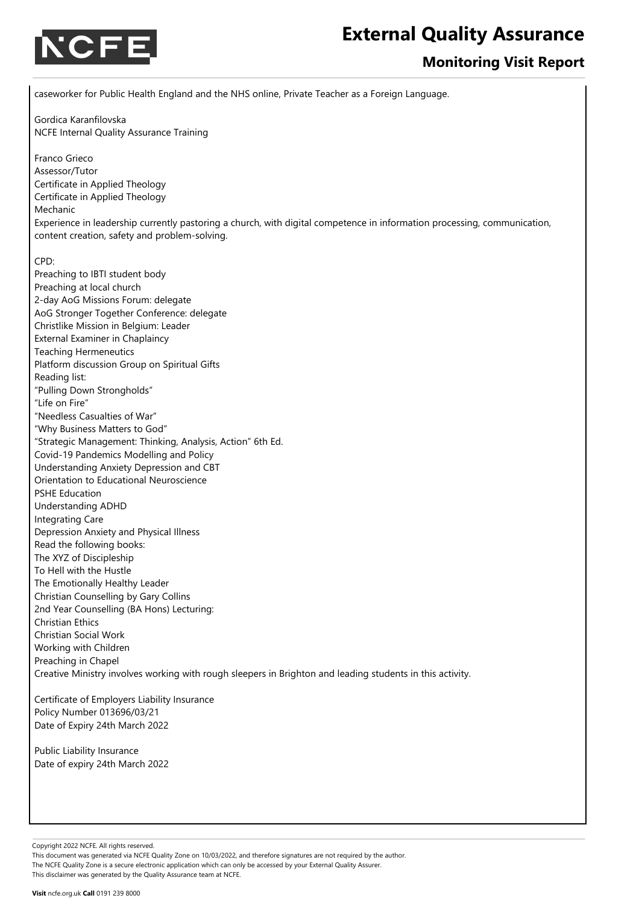

### **Monitoring Visit Report**

caseworker for Public Health England and the NHS online, Private Teacher as a Foreign Language. Gordica Karanfilovska NCFE Internal Quality Assurance Training Franco Grieco Assessor/Tutor Certificate in Applied Theology Certificate in Applied Theology Mechanic

Experience in leadership currently pastoring a church, with digital competence in information processing, communication, content creation, safety and problem-solving.

#### CPD:

Preaching to IBTI student body Preaching at local church 2-day AoG Missions Forum: delegate AoG Stronger Together Conference: delegate Christlike Mission in Belgium: Leader External Examiner in Chaplaincy Teaching Hermeneutics Platform discussion Group on Spiritual Gifts Reading list: "Pulling Down Strongholds" "Life on Fire" "Needless Casualties of War" "Why Business Matters to God" "Strategic Management: Thinking, Analysis, Action" 6th Ed. Covid-19 Pandemics Modelling and Policy Understanding Anxiety Depression and CBT Orientation to Educational Neuroscience PSHE Education Understanding ADHD Integrating Care Depression Anxiety and Physical Illness Read the following books: The XYZ of Discipleship To Hell with the Hustle The Emotionally Healthy Leader Christian Counselling by Gary Collins 2nd Year Counselling (BA Hons) Lecturing: Christian Ethics Christian Social Work Working with Children Preaching in Chapel Creative Ministry involves working with rough sleepers in Brighton and leading students in this activity.

Certificate of Employers Liability Insurance Policy Number 013696/03/21 Date of Expiry 24th March 2022

Public Liability Insurance Date of expiry 24th March 2022

Copyright 2022 NCFE. All rights reserved.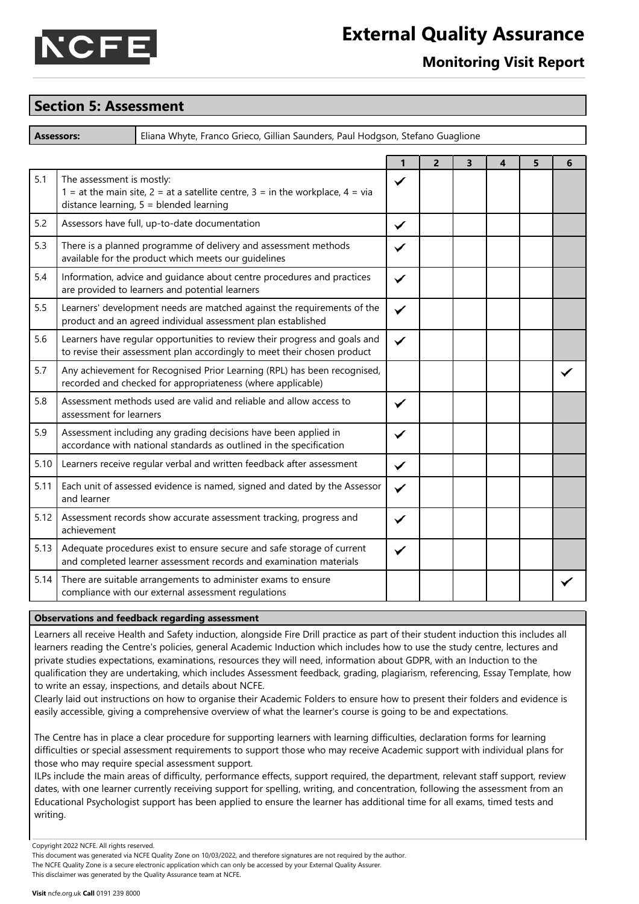

### **Monitoring Visit Report**

#### **Section 5: Assessment**

**Assessors:** Eliana Whyte, Franco Grieco, Gillian Saunders, Paul Hodgson, Stefano Guaglione

|      |                                                                                                                                                          | 1            | $\overline{2}$ | 3 | 4 | 5 | 6 |
|------|----------------------------------------------------------------------------------------------------------------------------------------------------------|--------------|----------------|---|---|---|---|
| 5.1  | The assessment is mostly:<br>1 = at the main site, 2 = at a satellite centre, 3 = in the workplace, 4 = via<br>distance learning, $5 =$ blended learning | ✓            |                |   |   |   |   |
| 5.2  | Assessors have full, up-to-date documentation                                                                                                            | ✓            |                |   |   |   |   |
| 5.3  | There is a planned programme of delivery and assessment methods<br>available for the product which meets our guidelines                                  | ✓            |                |   |   |   |   |
| 5.4  | Information, advice and guidance about centre procedures and practices<br>are provided to learners and potential learners                                | ✓            |                |   |   |   |   |
| 5.5  | Learners' development needs are matched against the requirements of the<br>product and an agreed individual assessment plan established                  | ✓            |                |   |   |   |   |
| 5.6  | Learners have regular opportunities to review their progress and goals and<br>to revise their assessment plan accordingly to meet their chosen product   | ✓            |                |   |   |   |   |
| 5.7  | Any achievement for Recognised Prior Learning (RPL) has been recognised,<br>recorded and checked for appropriateness (where applicable)                  |              |                |   |   |   |   |
| 5.8  | Assessment methods used are valid and reliable and allow access to<br>assessment for learners                                                            | $\checkmark$ |                |   |   |   |   |
| 5.9  | Assessment including any grading decisions have been applied in<br>accordance with national standards as outlined in the specification                   | ✓            |                |   |   |   |   |
| 5.10 | Learners receive regular verbal and written feedback after assessment                                                                                    | ✓            |                |   |   |   |   |
| 5.11 | Each unit of assessed evidence is named, signed and dated by the Assessor<br>and learner                                                                 | $\checkmark$ |                |   |   |   |   |
| 5.12 | Assessment records show accurate assessment tracking, progress and<br>achievement                                                                        | ✓            |                |   |   |   |   |
| 5.13 | Adequate procedures exist to ensure secure and safe storage of current<br>and completed learner assessment records and examination materials             |              |                |   |   |   |   |
| 5.14 | There are suitable arrangements to administer exams to ensure<br>compliance with our external assessment regulations                                     |              |                |   |   |   |   |

#### **Observations and feedback regarding assessment**

Learners all receive Health and Safety induction, alongside Fire Drill practice as part of their student induction this includes all learners reading the Centre's policies, general Academic Induction which includes how to use the study centre, lectures and private studies expectations, examinations, resources they will need, information about GDPR, with an Induction to the qualification they are undertaking, which includes Assessment feedback, grading, plagiarism, referencing, Essay Template, how to write an essay, inspections, and details about NCFE.

Clearly laid out instructions on how to organise their Academic Folders to ensure how to present their folders and evidence is easily accessible, giving a comprehensive overview of what the learner's course is going to be and expectations.

The Centre has in place a clear procedure for supporting learners with learning difficulties, declaration forms for learning difficulties or special assessment requirements to support those who may receive Academic support with individual plans for those who may require special assessment support.

ILPs include the main areas of difficulty, performance effects, support required, the department, relevant staff support, review dates, with one learner currently receiving support for spelling, writing, and concentration, following the assessment from an Educational Psychologist support has been applied to ensure the learner has additional time for all exams, timed tests and writing.

Copyright 2022 NCFE. All rights reserved.

This document was generated via NCFE Quality Zone on 10/03/2022, and therefore signatures are not required by the author. The NCFE Quality Zone is a secure electronic application which can only be accessed by your External Quality Assurer. This disclaimer was generated by the Quality Assurance team at NCFE.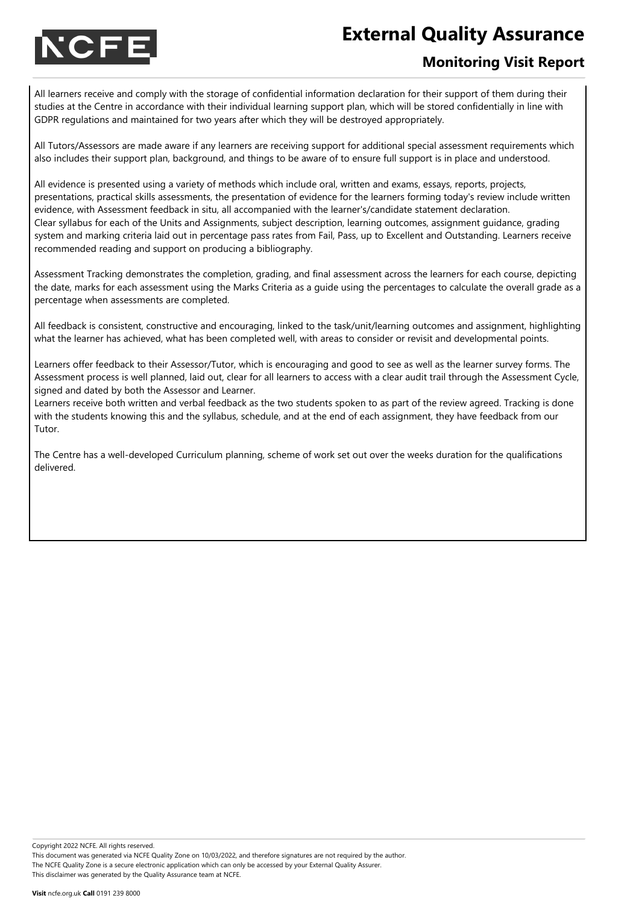

### **Monitoring Visit Report**

All learners receive and comply with the storage of confidential information declaration for their support of them during their studies at the Centre in accordance with their individual learning support plan, which will be stored confidentially in line with GDPR regulations and maintained for two years after which they will be destroyed appropriately.

All Tutors/Assessors are made aware if any learners are receiving support for additional special assessment requirements which also includes their support plan, background, and things to be aware of to ensure full support is in place and understood.

All evidence is presented using a variety of methods which include oral, written and exams, essays, reports, projects, presentations, practical skills assessments, the presentation of evidence for the learners forming today's review include written evidence, with Assessment feedback in situ, all accompanied with the learner's/candidate statement declaration. Clear syllabus for each of the Units and Assignments, subject description, learning outcomes, assignment guidance, grading system and marking criteria laid out in percentage pass rates from Fail, Pass, up to Excellent and Outstanding. Learners receive recommended reading and support on producing a bibliography.

Assessment Tracking demonstrates the completion, grading, and final assessment across the learners for each course, depicting the date, marks for each assessment using the Marks Criteria as a guide using the percentages to calculate the overall grade as a percentage when assessments are completed.

All feedback is consistent, constructive and encouraging, linked to the task/unit/learning outcomes and assignment, highlighting what the learner has achieved, what has been completed well, with areas to consider or revisit and developmental points.

Learners offer feedback to their Assessor/Tutor, which is encouraging and good to see as well as the learner survey forms. The Assessment process is well planned, laid out, clear for all learners to access with a clear audit trail through the Assessment Cycle, signed and dated by both the Assessor and Learner.

Learners receive both written and verbal feedback as the two students spoken to as part of the review agreed. Tracking is done with the students knowing this and the syllabus, schedule, and at the end of each assignment, they have feedback from our Tutor.

The Centre has a well-developed Curriculum planning, scheme of work set out over the weeks duration for the qualifications delivered.

Copyright 2022 NCFE. All rights reserved.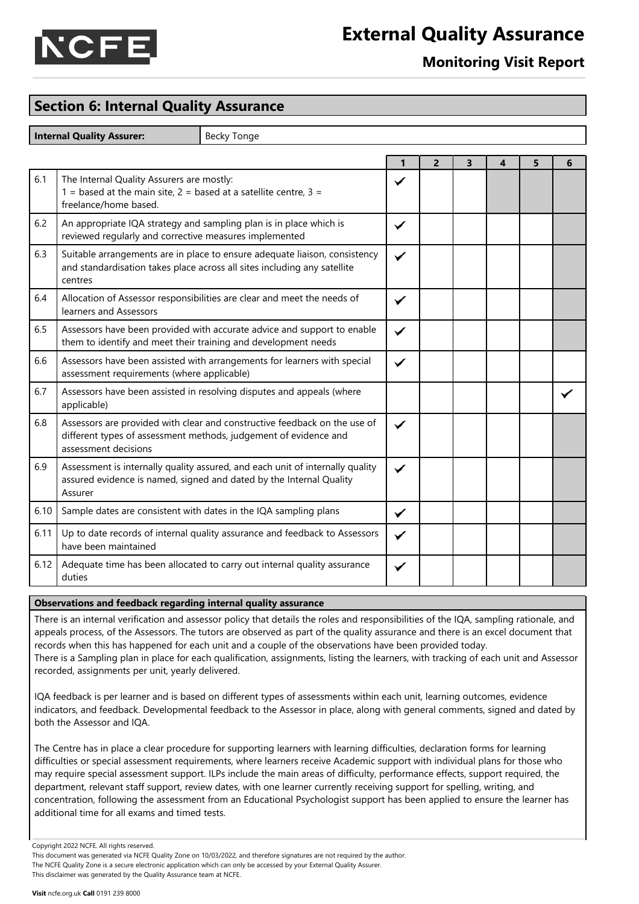

### **Monitoring Visit Report**

### **Section 6: Internal Quality Assurance**

**Internal Quality Assurer:** Becky Tonge

|      |                                                                                                                                                                       | 1 | $\overline{2}$ | 3 | 4 | 5 | 6 |
|------|-----------------------------------------------------------------------------------------------------------------------------------------------------------------------|---|----------------|---|---|---|---|
| 6.1  | The Internal Quality Assurers are mostly:<br>1 = based at the main site, $2 =$ based at a satellite centre, $3 =$<br>freelance/home based.                            | ✓ |                |   |   |   |   |
| 6.2  | An appropriate IQA strategy and sampling plan is in place which is<br>reviewed regularly and corrective measures implemented                                          | ✓ |                |   |   |   |   |
| 6.3  | Suitable arrangements are in place to ensure adequate liaison, consistency<br>and standardisation takes place across all sites including any satellite<br>centres     | ✓ |                |   |   |   |   |
| 6.4  | Allocation of Assessor responsibilities are clear and meet the needs of<br>learners and Assessors                                                                     | ✓ |                |   |   |   |   |
| 6.5  | Assessors have been provided with accurate advice and support to enable<br>them to identify and meet their training and development needs                             | ✓ |                |   |   |   |   |
| 6.6  | Assessors have been assisted with arrangements for learners with special<br>assessment requirements (where applicable)                                                | ✓ |                |   |   |   |   |
| 6.7  | Assessors have been assisted in resolving disputes and appeals (where<br>applicable)                                                                                  |   |                |   |   |   |   |
| 6.8  | Assessors are provided with clear and constructive feedback on the use of<br>different types of assessment methods, judgement of evidence and<br>assessment decisions | ✓ |                |   |   |   |   |
| 6.9  | Assessment is internally quality assured, and each unit of internally quality<br>assured evidence is named, signed and dated by the Internal Quality<br>Assurer       | ✓ |                |   |   |   |   |
| 6.10 | Sample dates are consistent with dates in the IQA sampling plans                                                                                                      | ✓ |                |   |   |   |   |
| 6.11 | Up to date records of internal quality assurance and feedback to Assessors<br>have been maintained                                                                    | ✓ |                |   |   |   |   |
| 6.12 | Adequate time has been allocated to carry out internal quality assurance<br>duties                                                                                    | ✓ |                |   |   |   |   |

#### **Observations and feedback regarding internal quality assurance**

There is an internal verification and assessor policy that details the roles and responsibilities of the IQA, sampling rationale, and appeals process, of the Assessors. The tutors are observed as part of the quality assurance and there is an excel document that records when this has happened for each unit and a couple of the observations have been provided today. There is a Sampling plan in place for each qualification, assignments, listing the learners, with tracking of each unit and Assessor recorded, assignments per unit, yearly delivered.

IQA feedback is per learner and is based on different types of assessments within each unit, learning outcomes, evidence indicators, and feedback. Developmental feedback to the Assessor in place, along with general comments, signed and dated by both the Assessor and IQA.

The Centre has in place a clear procedure for supporting learners with learning difficulties, declaration forms for learning difficulties or special assessment requirements, where learners receive Academic support with individual plans for those who may require special assessment support. ILPs include the main areas of difficulty, performance effects, support required, the department, relevant staff support, review dates, with one learner currently receiving support for spelling, writing, and concentration, following the assessment from an Educational Psychologist support has been applied to ensure the learner has additional time for all exams and timed tests.

Copyright 2022 NCFE. All rights reserved.

This document was generated via NCFE Quality Zone on 10/03/2022, and therefore signatures are not required by the author. The NCFE Quality Zone is a secure electronic application which can only be accessed by your External Quality Assurer. This disclaimer was generated by the Quality Assurance team at NCFE.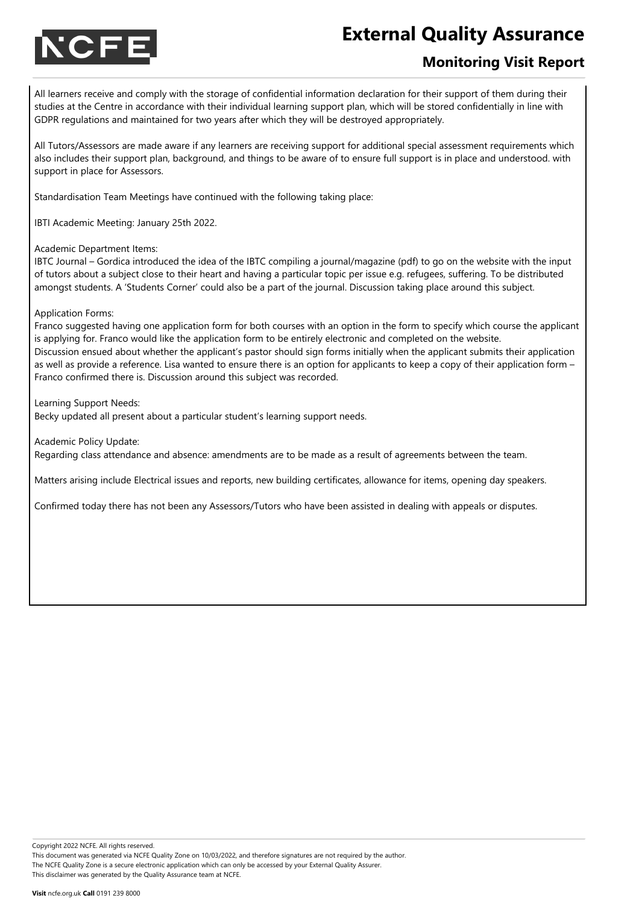

### **Monitoring Visit Report**

All learners receive and comply with the storage of confidential information declaration for their support of them during their studies at the Centre in accordance with their individual learning support plan, which will be stored confidentially in line with GDPR regulations and maintained for two years after which they will be destroyed appropriately.

All Tutors/Assessors are made aware if any learners are receiving support for additional special assessment requirements which also includes their support plan, background, and things to be aware of to ensure full support is in place and understood. with support in place for Assessors.

Standardisation Team Meetings have continued with the following taking place:

IBTI Academic Meeting: January 25th 2022.

Academic Department Items:

IBTC Journal – Gordica introduced the idea of the IBTC compiling a journal/magazine (pdf) to go on the website with the input of tutors about a subject close to their heart and having a particular topic per issue e.g. refugees, suffering. To be distributed amongst students. A 'Students Corner' could also be a part of the journal. Discussion taking place around this subject.

#### Application Forms:

Franco suggested having one application form for both courses with an option in the form to specify which course the applicant is applying for. Franco would like the application form to be entirely electronic and completed on the website. Discussion ensued about whether the applicant's pastor should sign forms initially when the applicant submits their application as well as provide a reference. Lisa wanted to ensure there is an option for applicants to keep a copy of their application form – Franco confirmed there is. Discussion around this subject was recorded.

Learning Support Needs:

Becky updated all present about a particular student's learning support needs.

Academic Policy Update:

Regarding class attendance and absence: amendments are to be made as a result of agreements between the team.

Matters arising include Electrical issues and reports, new building certificates, allowance for items, opening day speakers.

Confirmed today there has not been any Assessors/Tutors who have been assisted in dealing with appeals or disputes.

Copyright 2022 NCFE. All rights reserved.

This document was generated via NCFE Quality Zone on 10/03/2022, and therefore signatures are not required by the author. The NCFE Quality Zone is a secure electronic application which can only be accessed by your External Quality Assurer. This disclaimer was generated by the Quality Assurance team at NCFE.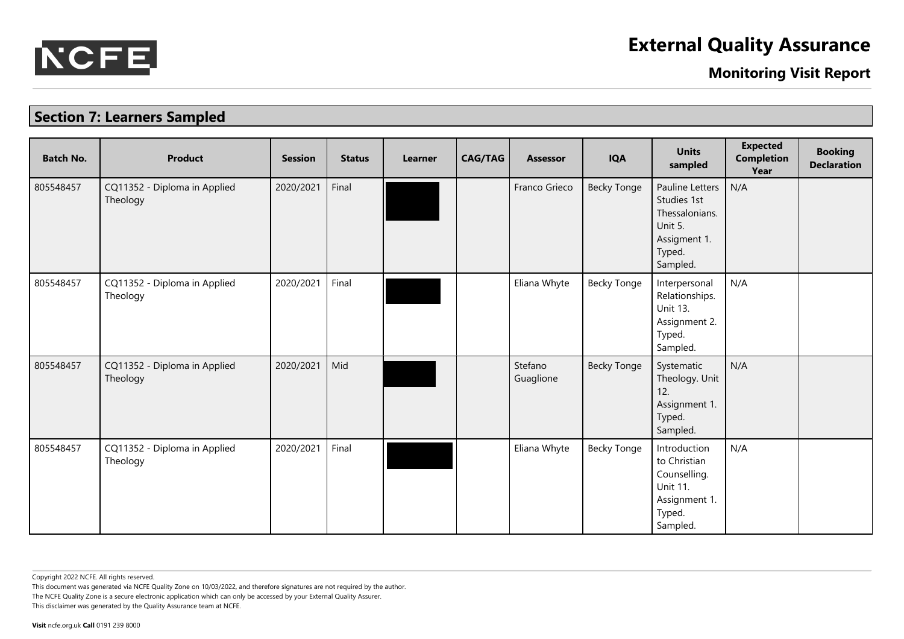

**Monitoring Visit Report**

## **Section 7: Learners Sampled**

| <b>Batch No.</b> | <b>Product</b>                           | <b>Session</b> | <b>Status</b> | <b>Learner</b> | <b>CAG/TAG</b> | Assessor             | <b>IQA</b>         | <b>Units</b><br>sampled                                                                                  | <b>Expected</b><br><b>Completion</b><br>Year | <b>Booking</b><br><b>Declaration</b> |
|------------------|------------------------------------------|----------------|---------------|----------------|----------------|----------------------|--------------------|----------------------------------------------------------------------------------------------------------|----------------------------------------------|--------------------------------------|
| 805548457        | CQ11352 - Diploma in Applied<br>Theology | 2020/2021      | Final         |                |                | Franco Grieco        | <b>Becky Tonge</b> | <b>Pauline Letters</b><br>Studies 1st<br>Thessalonians.<br>Unit 5.<br>Assigment 1.<br>Typed.<br>Sampled. | N/A                                          |                                      |
| 805548457        | CQ11352 - Diploma in Applied<br>Theology | 2020/2021      | Final         |                |                | Eliana Whyte         | <b>Becky Tonge</b> | Interpersonal<br>Relationships.<br>Unit 13.<br>Assignment 2.<br>Typed.<br>Sampled.                       | N/A                                          |                                      |
| 805548457        | CQ11352 - Diploma in Applied<br>Theology | 2020/2021      | Mid           |                |                | Stefano<br>Guaglione | <b>Becky Tonge</b> | Systematic<br>Theology. Unit<br>12.<br>Assignment 1.<br>Typed.<br>Sampled.                               | N/A                                          |                                      |
| 805548457        | CQ11352 - Diploma in Applied<br>Theology | 2020/2021      | Final         |                |                | Eliana Whyte         | <b>Becky Tonge</b> | Introduction<br>to Christian<br>Counselling.<br><b>Unit 11.</b><br>Assignment 1.<br>Typed.<br>Sampled.   | N/A                                          |                                      |

Copyright 2022 NCFE. All rights reserved.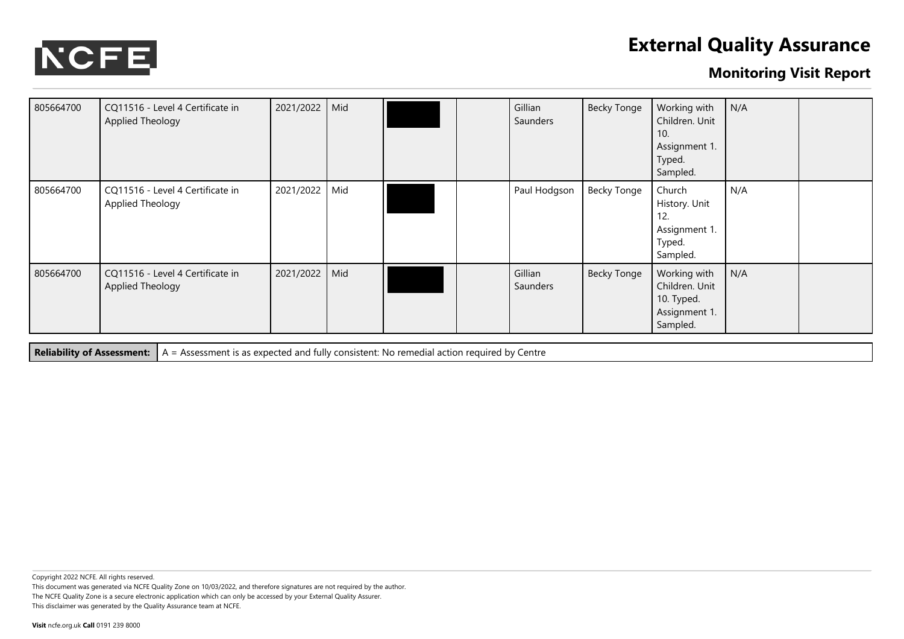

### **Monitoring Visit Report**

| 805664700 | CQ11516 - Level 4 Certificate in<br>Applied Theology | 2021/2022 | Mid |  | Gillian<br>Saunders | <b>Becky Tonge</b> | Working with<br>Children. Unit<br>10.<br>Assignment 1.<br>Typed.<br>Sampled. | N/A |  |
|-----------|------------------------------------------------------|-----------|-----|--|---------------------|--------------------|------------------------------------------------------------------------------|-----|--|
| 805664700 | CQ11516 - Level 4 Certificate in<br>Applied Theology | 2021/2022 | Mid |  | Paul Hodgson        | <b>Becky Tonge</b> | Church<br>History. Unit<br>12.<br>Assignment 1.<br>Typed.<br>Sampled.        | N/A |  |
| 805664700 | CQ11516 - Level 4 Certificate in<br>Applied Theology | 2021/2022 | Mid |  | Gillian<br>Saunders | <b>Becky Tonge</b> | Working with<br>Children. Unit<br>10. Typed.<br>Assignment 1.<br>Sampled.    | N/A |  |

**Reliability of Assessment:** A = Assessment is as expected and fully consistent: No remedial action required by Centre

Copyright 2022 NCFE. All rights reserved.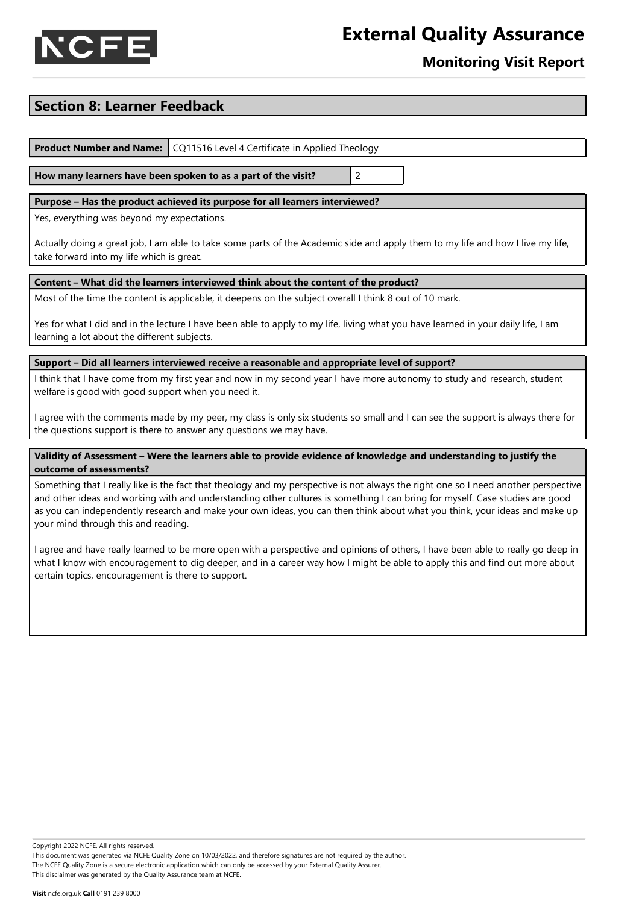



### **Monitoring Visit Report**

### **Section 8: Learner Feedback**

**Product Number and Name:** CQ11516 Level 4 Certificate in Applied Theology

**How many learners have been spoken to as a part of the visit?** 2

#### **Purpose – Has the product achieved its purpose for all learners interviewed?**

Yes, everything was beyond my expectations.

Actually doing a great job, I am able to take some parts of the Academic side and apply them to my life and how I live my life, take forward into my life which is great.

#### **Content – What did the learners interviewed think about the content of the product?**

Most of the time the content is applicable, it deepens on the subject overall I think 8 out of 10 mark.

Yes for what I did and in the lecture I have been able to apply to my life, living what you have learned in your daily life, I am learning a lot about the different subjects.

#### **Support – Did all learners interviewed receive a reasonable and appropriate level of support?**

I think that I have come from my first year and now in my second year I have more autonomy to study and research, student welfare is good with good support when you need it.

I agree with the comments made by my peer, my class is only six students so small and I can see the support is always there for the questions support is there to answer any questions we may have.

#### Validity of Assessment - Were the learners able to provide evidence of knowledge and understanding to justify the **outcome of assessments?**

Something that I really like is the fact that theology and my perspective is not always the right one so I need another perspective and other ideas and working with and understanding other cultures is something I can bring for myself. Case studies are good as you can independently research and make your own ideas, you can then think about what you think, your ideas and make up your mind through this and reading.

I agree and have really learned to be more open with a perspective and opinions of others, I have been able to really go deep in what I know with encouragement to dig deeper, and in a career way how I might be able to apply this and find out more about certain topics, encouragement is there to support.

Copyright 2022 NCFE. All rights reserved.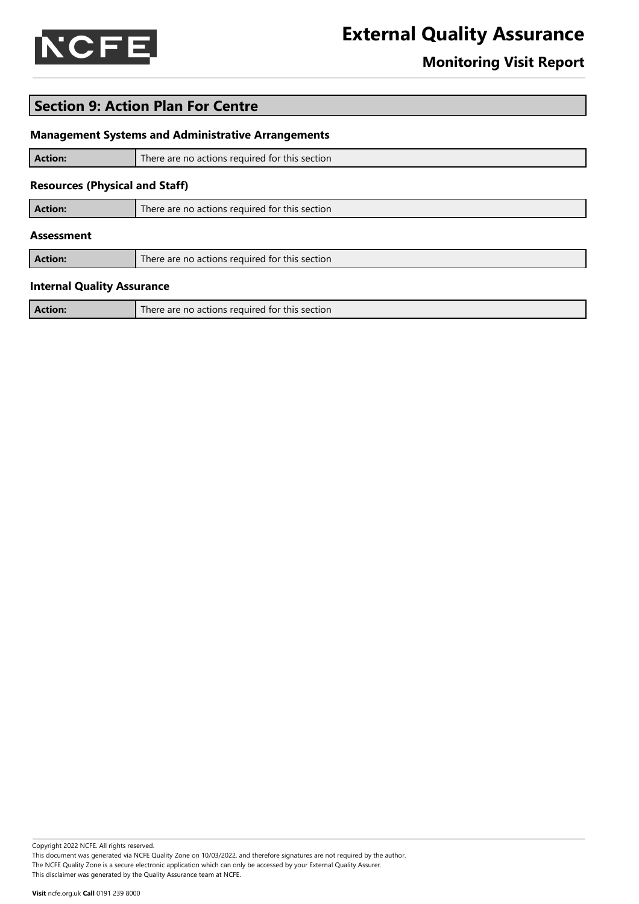

### **Monitoring Visit Report**

### **Section 9: Action Plan For Centre**

#### **Management Systems and Administrative Arrangements**

| <b>Action:</b>                        | There are no actions required for this section |
|---------------------------------------|------------------------------------------------|
| <b>Resources (Physical and Staff)</b> |                                                |
| <b>Action:</b>                        | There are no actions required for this section |
| <b>Assessment</b>                     |                                                |
| <b>Action:</b>                        | There are no actions required for this section |
| <b>Internal Quality Assurance</b>     |                                                |
| <b>Action:</b>                        | There are no actions required for this section |

#### Copyright 2022 NCFE. All rights reserved.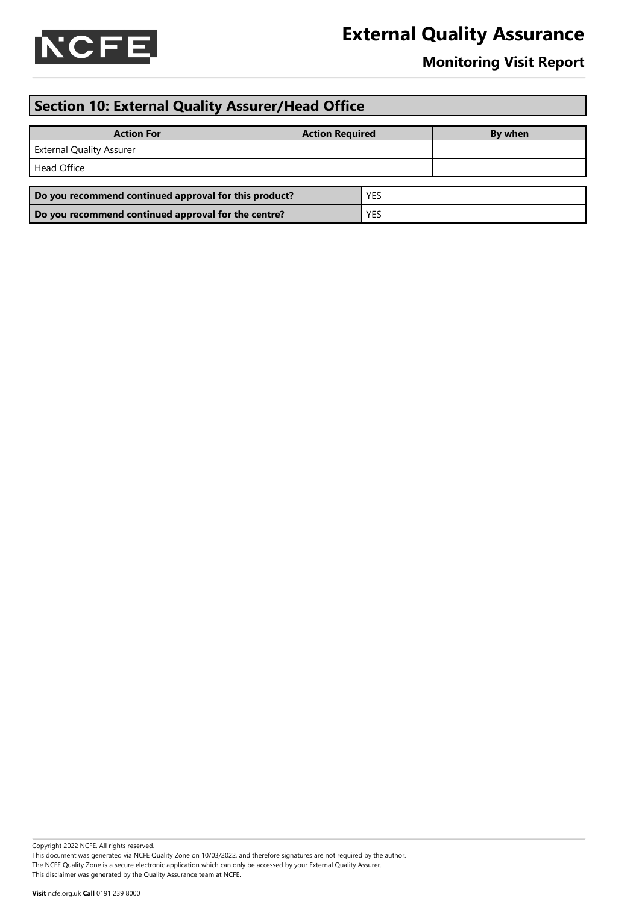

### **Monitoring Visit Report**

## **Section 10: External Quality Assurer/Head Office**

| <b>Action For</b>                                     | <b>Action Required</b> |            | By when |
|-------------------------------------------------------|------------------------|------------|---------|
| <b>External Quality Assurer</b>                       |                        |            |         |
| Head Office                                           |                        |            |         |
| <b>YES</b>                                            |                        |            |         |
| Do you recommend continued approval for this product? |                        |            |         |
| Do you recommend continued approval for the centre?   |                        | <b>YES</b> |         |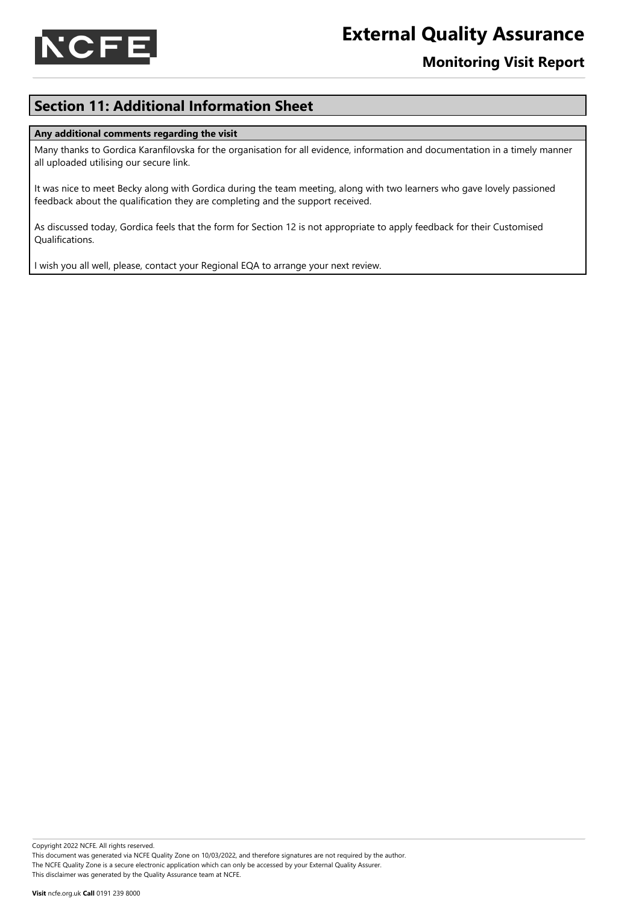

### **Monitoring Visit Report**

### **Section 11: Additional Information Sheet**

#### **Any additional comments regarding the visit**

Many thanks to Gordica Karanfilovska for the organisation for all evidence, information and documentation in a timely manner all uploaded utilising our secure link.

It was nice to meet Becky along with Gordica during the team meeting, along with two learners who gave lovely passioned feedback about the qualification they are completing and the support received.

As discussed today, Gordica feels that the form for Section 12 is not appropriate to apply feedback for their Customised Qualifications.

I wish you all well, please, contact your Regional EQA to arrange your next review.